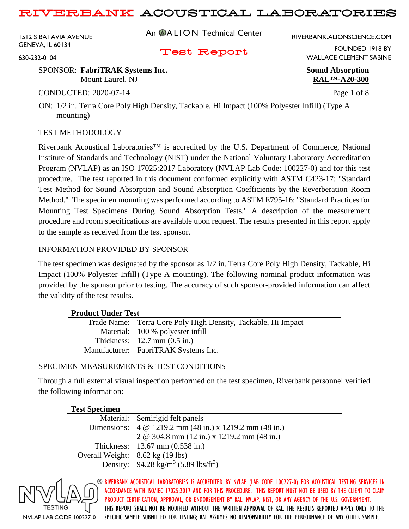1512 S BATAVIA AVENUE GENEVA, IL 60134

An **@ALION** Technical Center

RIVERBANK.ALIONSCIENCE.COM

Test Report

FOUNDED 1918 BY WALLACE CLEMENT SABINE

630-232-0104

#### SPONSOR: **FabriTRAK Systems Inc. Sound Absorption** Mount Laurel, NJ **RAL™-A20-300**

CONDUCTED: 2020-07-14 Page 1 of 8

ON: 1/2 in. Terra Core Poly High Density, Tackable, Hi Impact (100% Polyester Infill) (Type A mounting)

### TEST METHODOLOGY

Riverbank Acoustical Laboratories™ is accredited by the U.S. Department of Commerce, National Institute of Standards and Technology (NIST) under the National Voluntary Laboratory Accreditation Program (NVLAP) as an ISO 17025:2017 Laboratory (NVLAP Lab Code: 100227-0) and for this test procedure. The test reported in this document conformed explicitly with ASTM C423-17: "Standard Test Method for Sound Absorption and Sound Absorption Coefficients by the Reverberation Room Method." The specimen mounting was performed according to ASTM E795-16: "Standard Practices for Mounting Test Specimens During Sound Absorption Tests." A description of the measurement procedure and room specifications are available upon request. The results presented in this report apply to the sample as received from the test sponsor.

### INFORMATION PROVIDED BY SPONSOR

The test specimen was designated by the sponsor as 1/2 in. Terra Core Poly High Density, Tackable, Hi Impact (100% Polyester Infill) (Type A mounting). The following nominal product information was provided by the sponsor prior to testing. The accuracy of such sponsor-provided information can affect the validity of the test results.

### **Product Under Test**

| Trade Name: Terra Core Poly High Density, Tackable, Hi Impact |
|---------------------------------------------------------------|
|                                                               |
|                                                               |
|                                                               |
|                                                               |

### SPECIMEN MEASUREMENTS & TEST CONDITIONS

Through a full external visual inspection performed on the test specimen, Riverbank personnel verified the following information:

#### **Test Specimen**

Material: Semirigid felt panels Dimensions: 4 @ 1219.2 mm (48 in.) x 1219.2 mm (48 in.) 2 @ 304.8 mm (12 in.) x 1219.2 mm (48 in.) Thickness: 13.67 mm (0.538 in.) Overall Weight: 8.62 kg (19 lbs) Density: 94.28 kg/m<sup>3</sup> (5.89 lbs/ft<sup>3</sup>)

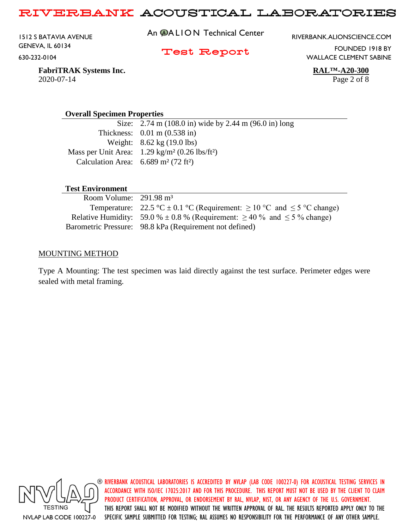1512 S BATAVIA AVENUE GENEVA, IL 60134 630-232-0104

An **@ALION** Technical Center

RIVERBANK.ALIONSCIENCE.COM

Test Report

FOUNDED 1918 BY WALLACE CLEMENT SABINE

**FabriTRAK Systems Inc. RAL™-A20-300** 2020-07-14 Page 2 of 8

#### **Overall Specimen Properties**

Size: 2.74 m (108.0 in) wide by 2.44 m (96.0 in) long Thickness: 0.01 m (0.538 in) Weight: 8.62 kg (19.0 lbs) Mass per Unit Area: 1.29 kg/m² (0.26 lbs/ft²) Calculation Area:  $6.689 \text{ m}^2 (72 \text{ ft}^2)$ 

#### **Test Environment**

| Room Volume: $291.98 \text{ m}^3$ |                                                                                                                      |
|-----------------------------------|----------------------------------------------------------------------------------------------------------------------|
|                                   | Temperature: $22.5 \text{ °C} \pm 0.1 \text{ °C}$ (Requirement: $\geq 10 \text{ °C}$ and $\leq 5 \text{ °C}$ change) |
|                                   | Relative Humidity: 59.0 % $\pm$ 0.8 % (Requirement: $\geq$ 40 % and $\leq$ 5 % change)                               |
|                                   | Barometric Pressure: 98.8 kPa (Requirement not defined)                                                              |

#### MOUNTING METHOD

Type A Mounting: The test specimen was laid directly against the test surface. Perimeter edges were sealed with metal framing.

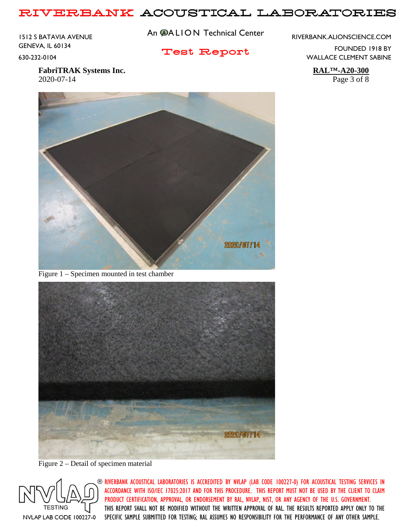1512 S BATAVIA AVENUE GENEVA, IL 60134 630-232-0104

An **@ALION** Technical Center

RIVERBANK.ALIONSCIENCE.COM

Test Report

FOUNDED 1918 BY WALLACE CLEMENT SABINE

**FabriTRAK Systems Inc. RAL™-A20-300** 2020-07-14 Page 3 of 8



Figure 1 – Specimen mounted in test chamber



Figure 2 – Detail of specimen material

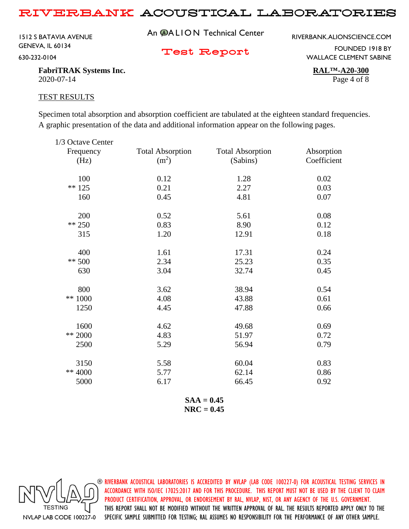1512 S BATAVIA AVENUE GENEVA, IL 60134 630-232-0104

An **@ALION** Technical Center

RIVERBANK.ALIONSCIENCE.COM

Test Report

FOUNDED 1918 BY WALLACE CLEMENT SABINE

**FabriTRAK Systems Inc. RAL™-A20-300** 2020-07-14 Page 4 of 8

#### TEST RESULTS

Specimen total absorption and absorption coefficient are tabulated at the eighteen standard frequencies. A graphic presentation of the data and additional information appear on the following pages.

| 1/3 Octave Center |                         |                         |             |
|-------------------|-------------------------|-------------------------|-------------|
| Frequency         | <b>Total Absorption</b> | <b>Total Absorption</b> | Absorption  |
| (Hz)              | (m <sup>2</sup> )       | (Sabins)                | Coefficient |
| 100               | 0.12                    | 1.28                    | 0.02        |
| $** 125$          | 0.21                    | 2.27                    | 0.03        |
| 160               | 0.45                    | 4.81                    | 0.07        |
| 200               | 0.52                    | 5.61                    | 0.08        |
| $** 250$          | 0.83                    | 8.90                    | 0.12        |
| 315               | 1.20                    | 12.91                   | 0.18        |
| 400               | 1.61                    | 17.31                   | 0.24        |
| $** 500$          | 2.34                    | 25.23                   | 0.35        |
| 630               | 3.04                    | 32.74                   | 0.45        |
| 800               | 3.62                    | 38.94                   | 0.54        |
| ** 1000           | 4.08                    | 43.88                   | 0.61        |
| 1250              | 4.45                    | 47.88                   | 0.66        |
| 1600              | 4.62                    | 49.68                   | 0.69        |
| ** 2000           | 4.83                    | 51.97                   | 0.72        |
| 2500              | 5.29                    | 56.94                   | 0.79        |
| 3150              | 5.58                    | 60.04                   | 0.83        |
| ** 4000           | 5.77                    | 62.14                   | 0.86        |
| 5000              | 6.17                    | 66.45                   | 0.92        |
|                   |                         |                         |             |

**SAA = 0.45 NRC = 0.45**

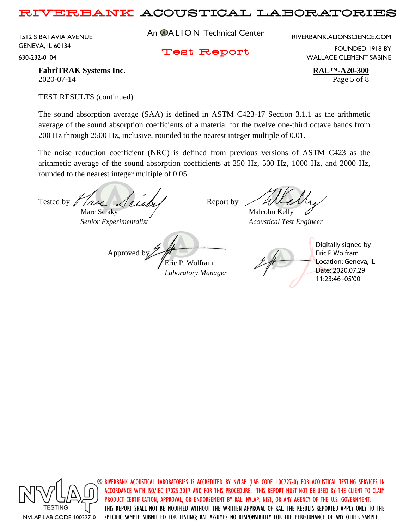1512 S BATAVIA AVENUE GENEVA, IL 60134 630-232-0104

An **@ALION** Technical Center

RIVERBANK.ALIONSCIENCE.COM

Test Report

FOUNDED 1918 BY WALLACE CLEMENT SABINE

**FabriTRAK Systems Inc. RAL™-A20-300** 2020-07-14 Page 5 of 8

#### TEST RESULTS (continued)

The sound absorption average (SAA) is defined in ASTM C423-17 Section 3.1.1 as the arithmetic average of the sound absorption coefficients of a material for the twelve one-third octave bands from 200 Hz through 2500 Hz, inclusive, rounded to the nearest integer multiple of 0.01.

The noise reduction coefficient (NRC) is defined from previous versions of ASTM C423 as the arithmetic average of the sound absorption coefficients at 250 Hz, 500 Hz, 1000 Hz, and 2000 Hz, rounded to the nearest integer multiple of 0.05.

Tested by  $\ell$  are  $\ell$  and  $\ell$  Report by Marc Sciaky  $\sqrt{M}$  Malcolm Kelly *Senior Experimentalist Acoustical Test Engineer* Approved b Eric P. Wolfram *Laboratory Manager* Digitally signed by Eric P Wolfram Location: Geneva, IL Date: 2020.07.29 11:23:46 -05'00'



 $\circledast$  riverbank acoustical laboratories is accredited by nylap (lab code 100227-0) for acoustical testing services in ACCORDANCE WITH ISO/IEC 17025:2017 AND FOR THIS PROCEDURE. THIS REPORT MUST NOT BE USED BY THE CLIENT TO CLAIM PRODUCT CERTIFICATION, APPROVAL, OR ENDORSEMENT BY RAL, NVLAP, NIST, OR ANY AGENCY OF THE U.S. GOVERNMENT. THIS REPORT SHALL NOT BE MODIFIED WITHOUT THE WRITTEN APPROVAL OF RAL. THE RESULTS REPORTED APPLY ONLY TO THE SPECIFIC SAMPLE SUBMITTED FOR TESTING; RAL ASSUMES NO RESPONSIBILITY FOR THE PERFORMANCE OF ANY OTHER SAMPLE.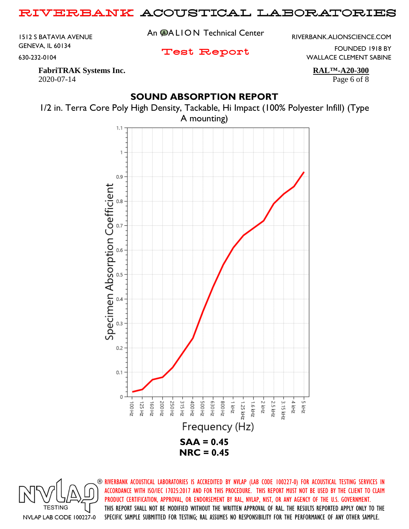1512 S BATAVIA AVENUE GENEVA, IL 60134 630-232-0104

An **@ALION** Technical Center

RIVERBANK.ALIONSCIENCE.COM

Test Report

FOUNDED 1918 BY WALLACE CLEMENT SABINE

**FabriTRAK Systems Inc. RAL™-A20-300** 2020-07-14 Page 6 of 8

## **SOUND ABSORPTION REPORT**



1/2 in. Terra Core Poly High Density, Tackable, Hi Impact (100% Polyester Infill) (Type A mounting)

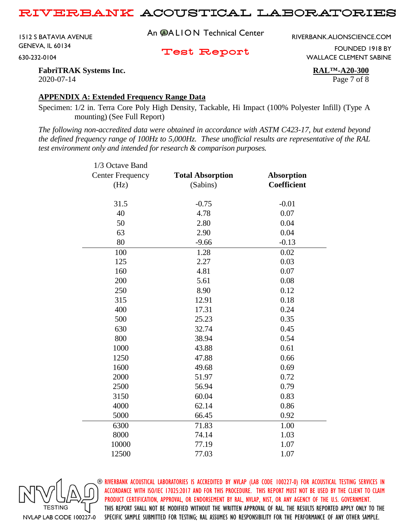1512 S BATAVIA AVENUE GENEVA, IL 60134 630-232-0104

An **@ALION** Technical Center

RIVERBANK.ALIONSCIENCE.COM

Test Report

FOUNDED 1918 BY WALLACE CLEMENT SABINE

**FabriTRAK Systems Inc. RAL™-A20-300** 2020-07-14 Page 7 of 8

#### **APPENDIX A: Extended Frequency Range Data**

Specimen: 1/2 in. Terra Core Poly High Density, Tackable, Hi Impact (100% Polyester Infill) (Type A mounting) (See Full Report)

*The following non-accredited data were obtained in accordance with ASTM C423-17, but extend beyond the defined frequency range of 100Hz to 5,000Hz. These unofficial results are representative of the RAL test environment only and intended for research & comparison purposes.* 

| 1/3 Octave Band         |                         |                    |
|-------------------------|-------------------------|--------------------|
| <b>Center Frequency</b> | <b>Total Absorption</b> | <b>Absorption</b>  |
| (Hz)                    | (Sabins)                | <b>Coefficient</b> |
|                         |                         |                    |
| 31.5                    | $-0.75$                 | $-0.01$            |
| 40                      | 4.78                    | 0.07               |
| 50                      | 2.80                    | 0.04               |
| 63                      | 2.90                    | 0.04               |
| 80                      | $-9.66$                 | $-0.13$            |
| 100                     | 1.28                    | 0.02               |
| 125                     | 2.27                    | 0.03               |
| 160                     | 4.81                    | 0.07               |
| 200                     | 5.61                    | 0.08               |
| 250                     | 8.90                    | 0.12               |
| 315                     | 12.91                   | 0.18               |
| 400                     | 17.31                   | 0.24               |
| 500                     | 25.23                   | 0.35               |
| 630                     | 32.74                   | 0.45               |
| 800                     | 38.94                   | 0.54               |
| 1000                    | 43.88                   | 0.61               |
| 1250                    | 47.88                   | 0.66               |
| 1600                    | 49.68                   | 0.69               |
| 2000                    | 51.97                   | 0.72               |
| 2500                    | 56.94                   | 0.79               |
| 3150                    | 60.04                   | 0.83               |
| 4000                    | 62.14                   | 0.86               |
| 5000                    | 66.45                   | 0.92               |
| 6300                    | 71.83                   | 1.00               |
| 8000                    | 74.14                   | 1.03               |
| 10000                   | 77.19                   | 1.07               |
| 12500                   | 77.03                   | 1.07               |